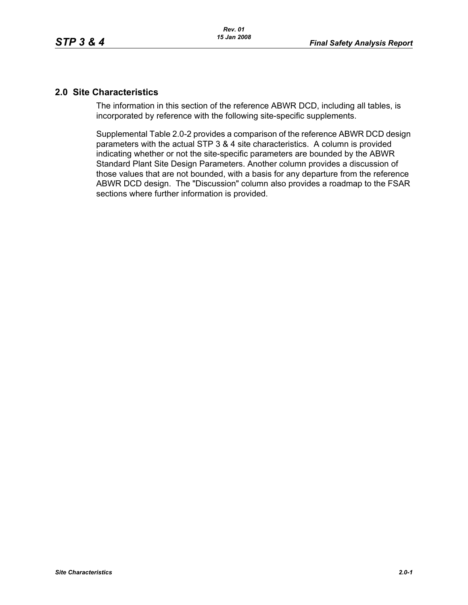## **2.0 Site Characteristics**

The information in this section of the reference ABWR DCD, including all tables, is incorporated by reference with the following site-specific supplements.

Supplemental Table 2.0-2 provides a comparison of the reference ABWR DCD design parameters with the actual STP 3 & 4 site characteristics. A column is provided indicating whether or not the site-specific parameters are bounded by the ABWR Standard Plant Site Design Parameters. Another column provides a discussion of those values that are not bounded, with a basis for any departure from the reference ABWR DCD design. The "Discussion" column also provides a roadmap to the FSAR sections where further information is provided.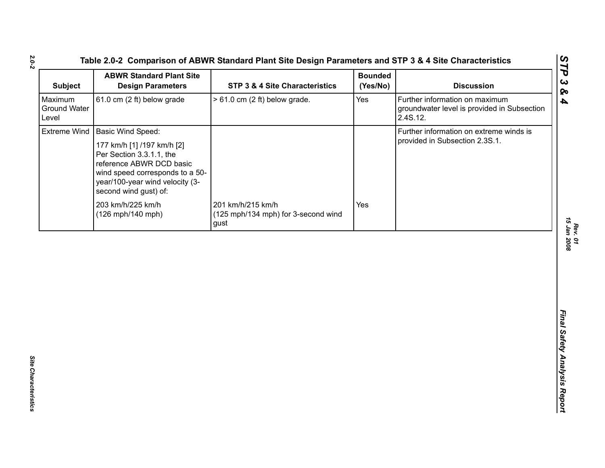| <b>ABWR Standard Plant Site</b><br><b>Design Parameters</b>                                                                                                                       | <b>STP 3 &amp; 4 Site Characteristics</b>                        | <b>Bounded</b><br>(Yes/No) | <b>Discussion</b>                                                                         |
|-----------------------------------------------------------------------------------------------------------------------------------------------------------------------------------|------------------------------------------------------------------|----------------------------|-------------------------------------------------------------------------------------------|
| 61.0 cm (2 ft) below grade                                                                                                                                                        | $> 61.0$ cm (2 ft) below grade.                                  | Yes                        | Further information on maximum<br>groundwater level is provided in Subsection<br>2.4S.12. |
| <b>Basic Wind Speed:</b>                                                                                                                                                          |                                                                  |                            | Further information on extreme winds is                                                   |
| 177 km/h [1] /197 km/h [2]<br>Per Section 3.3.1.1, the<br>reference ABWR DCD basic<br>wind speed corresponds to a 50-<br>year/100-year wind velocity (3-<br>second wind gust) of: |                                                                  |                            | provided in Subsection 2.3S.1.                                                            |
| 203 km/h/225 km/h<br>(126 mph/140 mph)                                                                                                                                            | 201 km/h/215 km/h<br>(125 mph/134 mph) for 3-second wind<br>gust | Yes                        |                                                                                           |
|                                                                                                                                                                                   |                                                                  |                            |                                                                                           |
|                                                                                                                                                                                   |                                                                  |                            |                                                                                           |
|                                                                                                                                                                                   |                                                                  |                            |                                                                                           |
|                                                                                                                                                                                   |                                                                  |                            |                                                                                           |
|                                                                                                                                                                                   |                                                                  |                            |                                                                                           |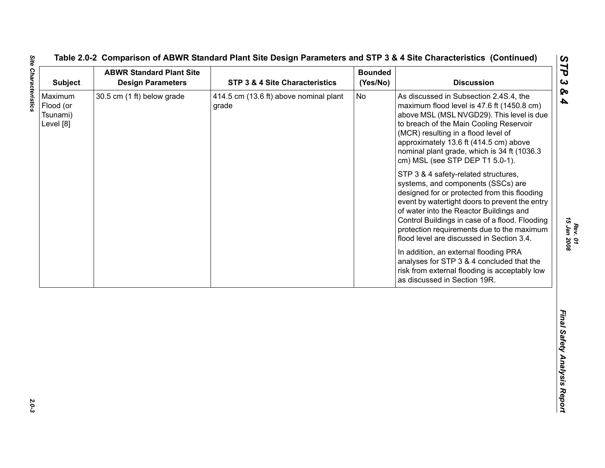| Maximum<br>Flood (or<br>Tsunami)<br>Level [8] | 30.5 cm (1 ft) below grade | 414.5 cm (13.6 ft) above nominal plant<br>grade |    | <b>Discussion</b>                                                                                                                                                                                                                                                                                                                                                    |
|-----------------------------------------------|----------------------------|-------------------------------------------------|----|----------------------------------------------------------------------------------------------------------------------------------------------------------------------------------------------------------------------------------------------------------------------------------------------------------------------------------------------------------------------|
|                                               |                            |                                                 | No | As discussed in Subsection 2.4S.4, the<br>maximum flood level is 47.6 ft (1450.8 cm)<br>above MSL (MSL NVGD29). This level is due<br>to breach of the Main Cooling Reservoir<br>(MCR) resulting in a flood level of<br>approximately 13.6 ft (414.5 cm) above<br>nominal plant grade, which is 34 ft (1036.3)<br>cm) MSL (see STP DEP T1 5.0-1).                     |
|                                               |                            |                                                 |    | STP 3 & 4 safety-related structures,<br>systems, and components (SSCs) are<br>designed for or protected from this flooding<br>event by watertight doors to prevent the entry<br>of water into the Reactor Buildings and<br>Control Buildings in case of a flood. Flooding<br>protection requirements due to the maximum<br>flood level are discussed in Section 3.4. |
|                                               |                            |                                                 |    | In addition, an external flooding PRA<br>analyses for STP 3 & 4 concluded that the<br>risk from external flooding is acceptably low<br>as discussed in Section 19R.                                                                                                                                                                                                  |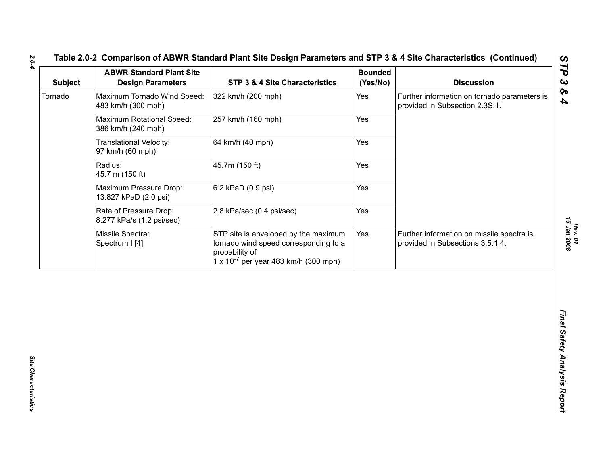| Maximum Tornado Wind Speed:<br>Further information on tornado parameters is<br>322 km/h (200 mph)<br>Yes<br>483 km/h (300 mph)<br>provided in Subsection 2.3S.1.<br>Maximum Rotational Speed:<br>257 km/h (160 mph)<br>Yes<br>386 km/h (240 mph)<br>64 km/h (40 mph)<br>Translational Velocity:<br>Yes<br>97 km/h (60 mph)<br>45.7m (150 ft)<br>Radius:<br>Yes<br>45.7 m (150 ft)<br>Maximum Pressure Drop:<br>6.2 kPaD (0.9 psi)<br>Yes<br>13.827 kPaD (2.0 psi)<br>Yes<br>Rate of Pressure Drop:<br>2.8 kPa/sec (0.4 psi/sec)<br>8.277 kPa/s (1.2 psi/sec)<br>Yes<br>Missile Spectra:<br>STP site is enveloped by the maximum<br>Further information on missile spectra is<br>tornado wind speed corresponding to a<br>Spectrum I [4]<br>provided in Subsections 3.5.1.4.<br>probability of<br>$1 \times 10^{-7}$ per year 483 km/h (300 mph) | <b>Discussion</b> | <b>Bounded</b><br>(Yes/No) | <b>STP 3 &amp; 4 Site Characteristics</b> | <b>ABWR Standard Plant Site</b><br><b>Design Parameters</b> | <b>Subject</b> |
|-------------------------------------------------------------------------------------------------------------------------------------------------------------------------------------------------------------------------------------------------------------------------------------------------------------------------------------------------------------------------------------------------------------------------------------------------------------------------------------------------------------------------------------------------------------------------------------------------------------------------------------------------------------------------------------------------------------------------------------------------------------------------------------------------------------------------------------------------|-------------------|----------------------------|-------------------------------------------|-------------------------------------------------------------|----------------|
|                                                                                                                                                                                                                                                                                                                                                                                                                                                                                                                                                                                                                                                                                                                                                                                                                                                 |                   |                            |                                           | Tornado                                                     |                |
|                                                                                                                                                                                                                                                                                                                                                                                                                                                                                                                                                                                                                                                                                                                                                                                                                                                 |                   |                            |                                           |                                                             |                |
|                                                                                                                                                                                                                                                                                                                                                                                                                                                                                                                                                                                                                                                                                                                                                                                                                                                 |                   |                            |                                           |                                                             |                |
|                                                                                                                                                                                                                                                                                                                                                                                                                                                                                                                                                                                                                                                                                                                                                                                                                                                 |                   |                            |                                           |                                                             |                |
|                                                                                                                                                                                                                                                                                                                                                                                                                                                                                                                                                                                                                                                                                                                                                                                                                                                 |                   |                            |                                           |                                                             |                |
|                                                                                                                                                                                                                                                                                                                                                                                                                                                                                                                                                                                                                                                                                                                                                                                                                                                 |                   |                            |                                           |                                                             |                |
|                                                                                                                                                                                                                                                                                                                                                                                                                                                                                                                                                                                                                                                                                                                                                                                                                                                 |                   |                            |                                           |                                                             |                |
|                                                                                                                                                                                                                                                                                                                                                                                                                                                                                                                                                                                                                                                                                                                                                                                                                                                 |                   |                            |                                           |                                                             |                |
|                                                                                                                                                                                                                                                                                                                                                                                                                                                                                                                                                                                                                                                                                                                                                                                                                                                 |                   |                            |                                           |                                                             |                |
|                                                                                                                                                                                                                                                                                                                                                                                                                                                                                                                                                                                                                                                                                                                                                                                                                                                 |                   |                            |                                           |                                                             |                |
|                                                                                                                                                                                                                                                                                                                                                                                                                                                                                                                                                                                                                                                                                                                                                                                                                                                 |                   |                            |                                           |                                                             |                |
|                                                                                                                                                                                                                                                                                                                                                                                                                                                                                                                                                                                                                                                                                                                                                                                                                                                 |                   |                            |                                           |                                                             |                |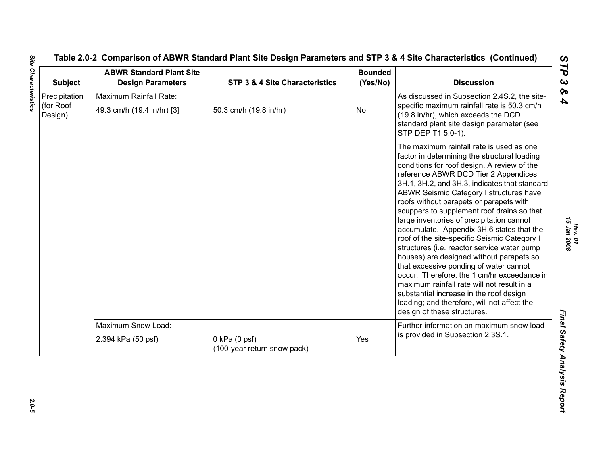| <b>Subject</b>                        | <b>ABWR Standard Plant Site</b><br><b>Design Parameters</b> | STP 3 & 4 Site Characteristics                   | <b>Bounded</b><br>(Yes/No) | <b>Discussion</b>                                                                                                                                                                                                                                                                                                                                                                                                                                                                                                                                                                                                                                                                                                                                                                                                                                                         |
|---------------------------------------|-------------------------------------------------------------|--------------------------------------------------|----------------------------|---------------------------------------------------------------------------------------------------------------------------------------------------------------------------------------------------------------------------------------------------------------------------------------------------------------------------------------------------------------------------------------------------------------------------------------------------------------------------------------------------------------------------------------------------------------------------------------------------------------------------------------------------------------------------------------------------------------------------------------------------------------------------------------------------------------------------------------------------------------------------|
| Precipitation<br>(for Roof<br>Design) | Maximum Rainfall Rate:<br>49.3 cm/h (19.4 in/hr) [3]        | 50.3 cm/h (19.8 in/hr)                           | <b>No</b>                  | As discussed in Subsection 2.4S.2, the site-<br>specific maximum rainfall rate is 50.3 cm/h<br>(19.8 in/hr), which exceeds the DCD<br>standard plant site design parameter (see<br>STP DEP T1 5.0-1).                                                                                                                                                                                                                                                                                                                                                                                                                                                                                                                                                                                                                                                                     |
|                                       |                                                             |                                                  |                            | The maximum rainfall rate is used as one<br>factor in determining the structural loading<br>conditions for roof design. A review of the<br>reference ABWR DCD Tier 2 Appendices<br>3H.1, 3H.2, and 3H.3, indicates that standard<br>ABWR Seismic Category I structures have<br>roofs without parapets or parapets with<br>scuppers to supplement roof drains so that<br>large inventories of precipitation cannot<br>accumulate. Appendix 3H.6 states that the<br>roof of the site-specific Seismic Category I<br>structures (i.e. reactor service water pump<br>houses) are designed without parapets so<br>that excessive ponding of water cannot<br>occur. Therefore, the 1 cm/hr exceedance in<br>maximum rainfall rate will not result in a<br>substantial increase in the roof design<br>loading; and therefore, will not affect the<br>design of these structures. |
|                                       | Maximum Snow Load:<br>2.394 kPa (50 psf)                    | $0$ kPa $(0$ psf)<br>(100-year return snow pack) | Yes                        | Further information on maximum snow load<br>is provided in Subsection 2.3S.1.                                                                                                                                                                                                                                                                                                                                                                                                                                                                                                                                                                                                                                                                                                                                                                                             |

 $2.0 - 5$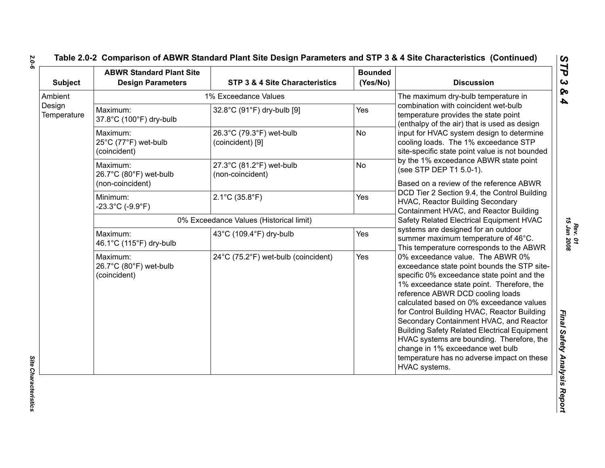| <b>Subject</b>           | <b>ABWR Standard Plant Site</b><br><b>Design Parameters</b>              | STP 3 & 4 Site Characteristics                              | <b>Bounded</b><br>(Yes/No)                                                                                                                                                                                                                                                                                                                                                                                                                                                                                                                 | <b>Discussion</b>                                                                                                                   |
|--------------------------|--------------------------------------------------------------------------|-------------------------------------------------------------|--------------------------------------------------------------------------------------------------------------------------------------------------------------------------------------------------------------------------------------------------------------------------------------------------------------------------------------------------------------------------------------------------------------------------------------------------------------------------------------------------------------------------------------------|-------------------------------------------------------------------------------------------------------------------------------------|
| Ambient                  |                                                                          | 1% Exceedance Values                                        |                                                                                                                                                                                                                                                                                                                                                                                                                                                                                                                                            | The maximum dry-bulb temperature in                                                                                                 |
| Design<br>Temperature    | Maximum:<br>32.8°C (91°F) dry-bulb [9]<br>Yes<br>37.8°C (100°F) dry-bulb |                                                             | combination with coincident wet-bulb<br>temperature provides the state point<br>(enthalpy of the air) that is used as design                                                                                                                                                                                                                                                                                                                                                                                                               |                                                                                                                                     |
| Maximum:<br>(coincident) | 25°C (77°F) wet-bulb                                                     | 26.3°C (79.3°F) wet-bulb<br>(coincident) [9]                | <b>No</b>                                                                                                                                                                                                                                                                                                                                                                                                                                                                                                                                  | input for HVAC system design to determine<br>cooling loads. The 1% exceedance STP<br>site-specific state point value is not bounded |
|                          | Maximum:<br>26.7°C (80°F) wet-bulb<br>(non-coincident)                   | 27.3°C (81.2°F) wet-bulb<br>(non-coincident)                | <b>No</b>                                                                                                                                                                                                                                                                                                                                                                                                                                                                                                                                  | by the 1% exceedance ABWR state point<br>(see STP DEP T1 5.0-1).<br>Based on a review of the reference ABWR                         |
|                          | Minimum:<br>$-23.3^{\circ}$ C (-9.9 $^{\circ}$ F)                        | $2.1^{\circ}$ C (35.8 $^{\circ}$ F)                         | Yes                                                                                                                                                                                                                                                                                                                                                                                                                                                                                                                                        | DCD Tier 2 Section 9.4, the Control Building<br><b>HVAC, Reactor Building Secondary</b><br>Containment HVAC, and Reactor Building   |
|                          | 0% Exceedance Values (Historical limit)                                  | Safety Related Electrical Equipment HVAC                    |                                                                                                                                                                                                                                                                                                                                                                                                                                                                                                                                            |                                                                                                                                     |
|                          | Maximum:<br>46.1°C (115°F) dry-bulb                                      | 43°C (109.4°F) dry-bulb                                     | Yes                                                                                                                                                                                                                                                                                                                                                                                                                                                                                                                                        | systems are designed for an outdoor<br>summer maximum temperature of 46°C.<br>This temperature corresponds to the ABWR              |
|                          | Maximum:<br>26.7°C (80°F) wet-bulb<br>(coincident)                       | 24°C (75.2°F) wet-bulb (coincident)<br>Yes<br>HVAC systems. | 0% exceedance value. The ABWR 0%<br>exceedance state point bounds the STP site-<br>specific 0% exceedance state point and the<br>1% exceedance state point. Therefore, the<br>reference ABWR DCD cooling loads<br>calculated based on 0% exceedance values<br>for Control Building HVAC, Reactor Building<br>Secondary Containment HVAC, and Reactor<br><b>Building Safety Related Electrical Equipment</b><br>HVAC systems are bounding. Therefore, the<br>change in 1% exceedance wet bulb<br>temperature has no adverse impact on these |                                                                                                                                     |

*2.0-6*

Site Characteristics

*Site Characteristics*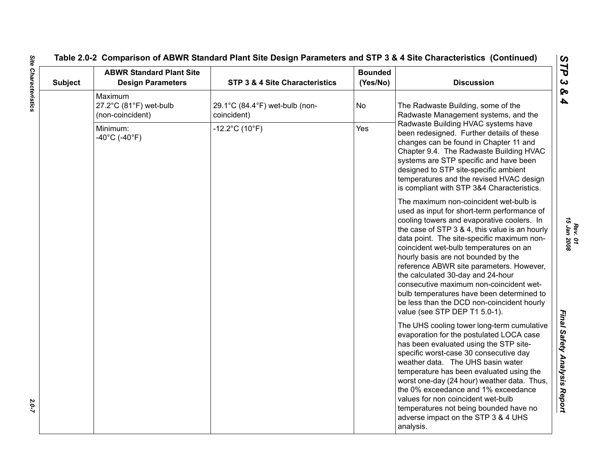# **Table 2.0-2 Comparison of ABWR Standard Plant Site Design Parameters and STP 3 & 4 Site Characteristics (Continued)**

| <b>Subject</b> | <b>ABWR Standard Plant Site</b><br><b>Design Parameters</b> | STP 3 & 4 Site Characteristics                | <b>Bounded</b><br>(Yes/No) | <b>Discussion</b>                                                                                                                                                                                                                                                                                                                                                                                                                                                                                                                                                            |
|----------------|-------------------------------------------------------------|-----------------------------------------------|----------------------------|------------------------------------------------------------------------------------------------------------------------------------------------------------------------------------------------------------------------------------------------------------------------------------------------------------------------------------------------------------------------------------------------------------------------------------------------------------------------------------------------------------------------------------------------------------------------------|
|                | Maximum<br>27.2°C (81°F) wet-bulb<br>(non-coincident)       | 29.1°C (84.4°F) wet-bulb (non-<br>coincident) | <b>No</b>                  | The Radwaste Building, some of the<br>Radwaste Management systems, and the                                                                                                                                                                                                                                                                                                                                                                                                                                                                                                   |
|                | Minimum:<br>$-40^{\circ}$ C (-40 $^{\circ}$ F)              | $-12.2^{\circ}$ C (10 $^{\circ}$ F)           | Yes                        | Radwaste Building HVAC systems have<br>been redesigned. Further details of these<br>changes can be found in Chapter 11 and<br>Chapter 9.4. The Radwaste Building HVAC<br>systems are STP specific and have been<br>designed to STP site-specific ambient<br>temperatures and the revised HVAC design<br>is compliant with STP 3&4 Characteristics.                                                                                                                                                                                                                           |
|                |                                                             |                                               |                            | The maximum non-coincident wet-bulb is<br>used as input for short-term performance of<br>cooling towers and evaporative coolers. In<br>the case of STP 3 & 4, this value is an hourly<br>data point. The site-specific maximum non-<br>coincident wet-bulb temperatures on an<br>hourly basis are not bounded by the<br>reference ABWR site parameters. However,<br>the calculated 30-day and 24-hour<br>consecutive maximum non-coincident wet-<br>bulb temperatures have been determined to<br>be less than the DCD non-coincident hourly<br>value (see STP DEP T1 5.0-1). |
|                |                                                             |                                               |                            | The UHS cooling tower long-term cumulative<br>evaporation for the postulated LOCA case<br>has been evaluated using the STP site-<br>specific worst-case 30 consecutive day<br>weather data. The UHS basin water<br>temperature has been evaluated using the<br>worst one-day (24 hour) weather data. Thus,<br>the 0% exceedance and 1% exceedance<br>values for non coincident wet-bulb<br>temperatures not being bounded have no<br>adverse impact on the STP 3 & 4 UHS<br>analysis.                                                                                        |

2.0-7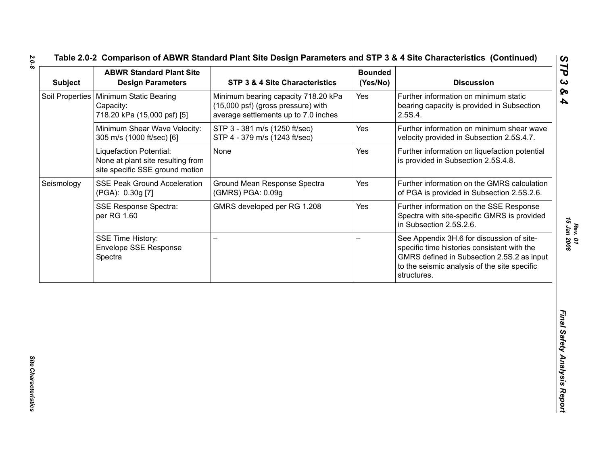|            |                                                                                                 | STP 3 & 4 Site Characteristics                                                                                    | <b>Bounded</b><br>(Yes/No) | <b>Discussion</b>                                                                                                                                                                                     |
|------------|-------------------------------------------------------------------------------------------------|-------------------------------------------------------------------------------------------------------------------|----------------------------|-------------------------------------------------------------------------------------------------------------------------------------------------------------------------------------------------------|
|            | Soil Properties   Minimum Static Bearing<br>Capacity:<br>718.20 kPa (15,000 psf) [5]            | Minimum bearing capacity 718.20 kPa<br>(15,000 psf) (gross pressure) with<br>average settlements up to 7.0 inches | Yes                        | Further information on minimum static<br>bearing capacity is provided in Subsection<br>2.5S.4.                                                                                                        |
|            | Minimum Shear Wave Velocity:<br>305 m/s (1000 ft/sec) [6]                                       | STP 3 - 381 m/s (1250 ft/sec)<br>STP 4 - 379 m/s (1243 ft/sec)                                                    | Yes                        | Further information on minimum shear wave<br>velocity provided in Subsection 2.5S.4.7.                                                                                                                |
|            | Liquefaction Potential:<br>None at plant site resulting from<br>site specific SSE ground motion | None                                                                                                              | Yes                        | Further information on liquefaction potential<br>is provided in Subsection 2.5S.4.8.                                                                                                                  |
| Seismology | <b>SSE Peak Ground Acceleration</b><br>(PGA): 0.30g [7]                                         | Ground Mean Response Spectra<br>(GMRS) PGA: 0.09g                                                                 | Yes                        | Further information on the GMRS calculation<br>of PGA is provided in Subsection 2.5S.2.6.                                                                                                             |
|            | <b>SSE Response Spectra:</b><br>per RG 1.60                                                     | GMRS developed per RG 1.208                                                                                       | Yes                        | Further information on the SSE Response<br>Spectra with site-specific GMRS is provided<br>in Subsection 2.5S.2.6.                                                                                     |
|            | <b>SSE Time History:</b><br><b>Envelope SSE Response</b><br>Spectra                             |                                                                                                                   |                            | See Appendix 3H.6 for discussion of site-<br>specific time histories consistent with the<br>GMRS defined in Subsection 2.5S.2 as input<br>to the seismic analysis of the site specific<br>structures. |

*Rev. 01*<br>15 Jan 2008 *15 Jan 2008*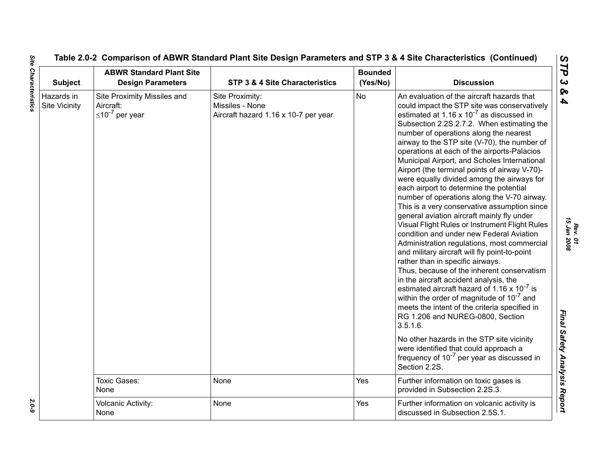| <b>Subject</b>                     | <b>ABWR Standard Plant Site</b><br><b>Design Parameters</b>         | <b>STP 3 &amp; 4 Site Characteristics</b>                                  | <b>Bounded</b><br>(Yes/No) | <b>Discussion</b>                                                                                                                                                                                                                                                                                                                                                                                                                                                                                                                                                                                                                                                                                                                                                                                                                                                                                                                                                                                                                                                                                                                                                                                                                                                                                                                                                           |
|------------------------------------|---------------------------------------------------------------------|----------------------------------------------------------------------------|----------------------------|-----------------------------------------------------------------------------------------------------------------------------------------------------------------------------------------------------------------------------------------------------------------------------------------------------------------------------------------------------------------------------------------------------------------------------------------------------------------------------------------------------------------------------------------------------------------------------------------------------------------------------------------------------------------------------------------------------------------------------------------------------------------------------------------------------------------------------------------------------------------------------------------------------------------------------------------------------------------------------------------------------------------------------------------------------------------------------------------------------------------------------------------------------------------------------------------------------------------------------------------------------------------------------------------------------------------------------------------------------------------------------|
| Hazards in<br><b>Site Vicinity</b> | Site Proximity Missiles and<br>Aircraft:<br>$\leq 10^{-7}$ per year | Site Proximity:<br>Missiles - None<br>Aircraft hazard 1.16 x 10-7 per year | <b>No</b>                  | An evaluation of the aircraft hazards that<br>could impact the STP site was conservatively<br>estimated at 1.16 x $10^{-7}$ as discussed in<br>Subsection 2.2S.2.7.2. When estimating the<br>number of operations along the nearest<br>airway to the STP site (V-70), the number of<br>operations at each of the airports-Palacios<br>Municipal Airport, and Scholes International<br>Airport (the terminal points of airway V-70)-<br>were equally divided among the airways for<br>each airport to determine the potential<br>number of operations along the V-70 airway.<br>This is a very conservative assumption since<br>general aviation aircraft mainly fly under<br>Visual Flight Rules or Instrument Flight Rules<br>condition and under new Federal Aviation<br>Administration regulations, most commercial<br>and military aircraft will fly point-to-point<br>rather than in specific airways.<br>Thus, because of the inherent conservatism<br>in the aircraft accident analysis, the<br>estimated aircraft hazard of 1.16 x $10^{-7}$ is<br>within the order of magnitude of 10 <sup>-7</sup> and<br>meets the intent of the criteria specified in<br>RG 1.206 and NUREG-0800, Section<br>3.5.1.6.<br>No other hazards in the STP site vicinity<br>were identified that could approach a<br>frequency of $10^{-7}$ per year as discussed in<br>Section 2.2S. |
|                                    | <b>Toxic Gases:</b><br>None                                         | None                                                                       | Yes                        | Further information on toxic gases is<br>provided in Subsection 2.2S.3.                                                                                                                                                                                                                                                                                                                                                                                                                                                                                                                                                                                                                                                                                                                                                                                                                                                                                                                                                                                                                                                                                                                                                                                                                                                                                                     |
|                                    | Volcanic Activity:<br>None                                          | None                                                                       | Yes                        | Further information on volcanic activity is<br>discussed in Subsection 2.5S.1.                                                                                                                                                                                                                                                                                                                                                                                                                                                                                                                                                                                                                                                                                                                                                                                                                                                                                                                                                                                                                                                                                                                                                                                                                                                                                              |

**Site Characteristics** *Site Characteristics 2.0-9*

2.0-9

*Rev. 01<br>15 Jan 2008 15 Jan 2008*